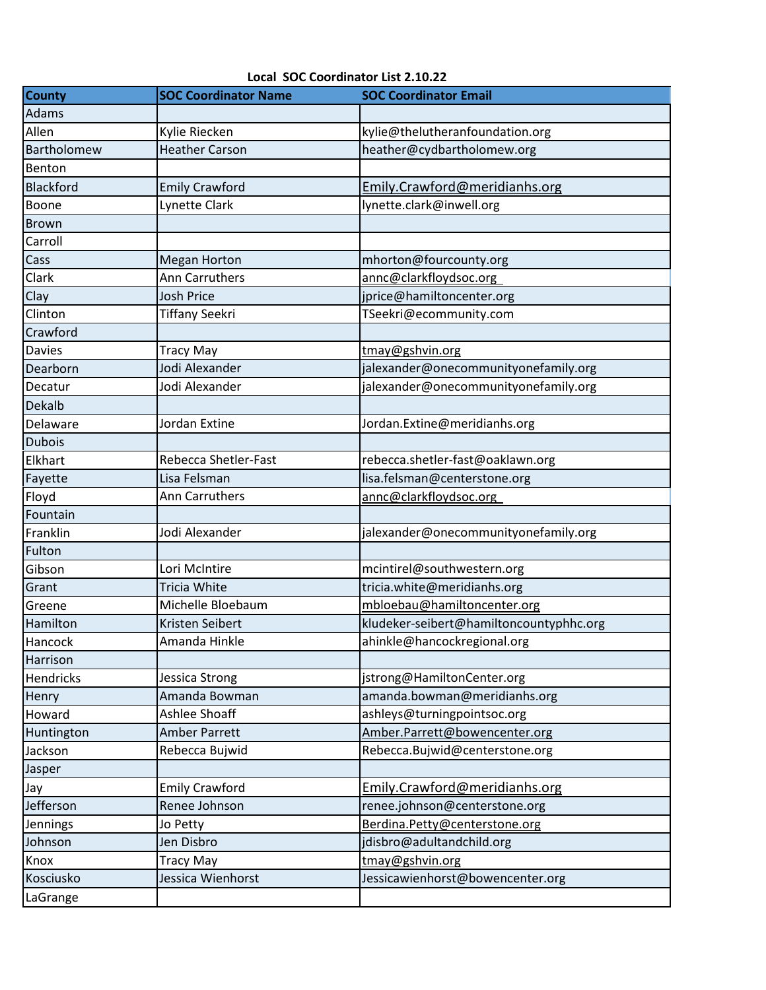| <b>County</b> | <b>SOC Coordinator Name</b> | <b>SOC Coordinator Email</b>            |
|---------------|-----------------------------|-----------------------------------------|
| Adams         |                             |                                         |
| Allen         | Kylie Riecken               | kylie@thelutheranfoundation.org         |
| Bartholomew   | <b>Heather Carson</b>       | heather@cydbartholomew.org              |
| Benton        |                             |                                         |
| Blackford     | <b>Emily Crawford</b>       | Emily.Crawford@meridianhs.org           |
| <b>Boone</b>  | Lynette Clark               | lynette.clark@inwell.org                |
| <b>Brown</b>  |                             |                                         |
| Carroll       |                             |                                         |
| Cass          | <b>Megan Horton</b>         | mhorton@fourcounty.org                  |
| Clark         | Ann Carruthers              | annc@clarkfloydsoc.org                  |
| Clay          | <b>Josh Price</b>           | jprice@hamiltoncenter.org               |
| Clinton       | Tiffany Seekri              | TSeekri@ecommunity.com                  |
| Crawford      |                             |                                         |
| <b>Davies</b> | Tracy May                   | tmay@gshvin.org                         |
| Dearborn      | Jodi Alexander              | jalexander@onecommunityonefamily.org    |
| Decatur       | Jodi Alexander              | jalexander@onecommunityonefamily.org    |
| Dekalb        |                             |                                         |
| Delaware      | Jordan Extine               | Jordan.Extine@meridianhs.org            |
| <b>Dubois</b> |                             |                                         |
| Elkhart       | Rebecca Shetler-Fast        | rebecca.shetler-fast@oaklawn.org        |
| Fayette       | Lisa Felsman                | lisa.felsman@centerstone.org            |
| Floyd         | Ann Carruthers              | annc@clarkfloydsoc.org                  |
| Fountain      |                             |                                         |
| Franklin      | Jodi Alexander              | jalexander@onecommunityonefamily.org    |
| Fulton        |                             |                                         |
| Gibson        | Lori McIntire               | mcintirel@southwestern.org              |
| Grant         | Tricia White                | tricia.white@meridianhs.org             |
| Greene        | Michelle Bloebaum           | mbloebau@hamiltoncenter.org             |
| Hamilton      | Kristen Seibert             | kludeker-seibert@hamiltoncountyphhc.org |
| Hancock       | Amanda Hinkle               | ahinkle@hancockregional.org             |
| Harrison      |                             |                                         |
| Hendricks     | Jessica Strong              | jstrong@HamiltonCenter.org              |
| Henry         | Amanda Bowman               | amanda.bowman@meridianhs.org            |
| Howard        | Ashlee Shoaff               | ashleys@turningpointsoc.org             |
| Huntington    | Amber Parrett               | Amber.Parrett@bowencenter.org           |
| Jackson       | Rebecca Bujwid              | Rebecca.Bujwid@centerstone.org          |
| Jasper        |                             |                                         |
| Jay           | <b>Emily Crawford</b>       | Emily.Crawford@meridianhs.org           |
| Jefferson     | Renee Johnson               | renee.johnson@centerstone.org           |
| Jennings      | Jo Petty                    | Berdina.Petty@centerstone.org           |
| Johnson       | Jen Disbro                  | jdisbro@adultandchild.org               |
| Knox          | <b>Tracy May</b>            | tmay@gshvin.org                         |
| Kosciusko     | Jessica Wienhorst           | Jessicawienhorst@bowencenter.org        |
| LaGrange      |                             |                                         |

**Local SOC Coordinator List 2.10.22**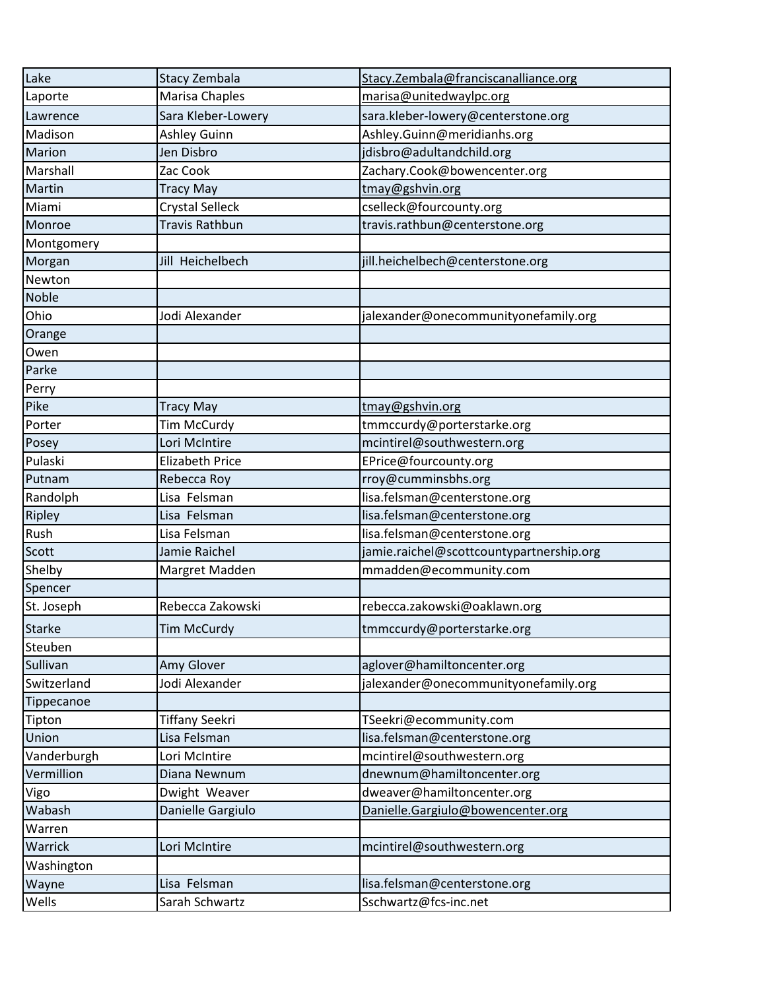| Marisa Chaples<br>Laporte<br>marisa@unitedwaylpc.org<br>Sara Kleber-Lowery<br>sara.kleber-lowery@centerstone.org<br>Lawrence<br><b>Ashley Guinn</b><br>Ashley.Guinn@meridianhs.org<br>Madison |  |
|-----------------------------------------------------------------------------------------------------------------------------------------------------------------------------------------------|--|
|                                                                                                                                                                                               |  |
|                                                                                                                                                                                               |  |
|                                                                                                                                                                                               |  |
| jdisbro@adultandchild.org<br>Marion<br>Jen Disbro                                                                                                                                             |  |
| Zac Cook<br>Zachary.Cook@bowencenter.org<br>Marshall                                                                                                                                          |  |
| Martin<br>tmay@gshvin.org<br><b>Tracy May</b>                                                                                                                                                 |  |
| Miami<br><b>Crystal Selleck</b><br>cselleck@fourcounty.org                                                                                                                                    |  |
| Monroe<br>Travis Rathbun<br>travis.rathbun@centerstone.org                                                                                                                                    |  |
| Montgomery                                                                                                                                                                                    |  |
| Jill Heichelbech<br>Morgan<br>jill.heichelbech@centerstone.org                                                                                                                                |  |
| Newton                                                                                                                                                                                        |  |
| <b>Noble</b>                                                                                                                                                                                  |  |
| Jodi Alexander<br>Ohio<br>jalexander@onecommunityonefamily.org                                                                                                                                |  |
| Orange                                                                                                                                                                                        |  |
| Owen                                                                                                                                                                                          |  |
| Parke                                                                                                                                                                                         |  |
| Perry                                                                                                                                                                                         |  |
| Pike<br><b>Tracy May</b><br>tmay@gshvin.org                                                                                                                                                   |  |
| Tim McCurdy<br>tmmccurdy@porterstarke.org<br>Porter                                                                                                                                           |  |
| mcintirel@southwestern.org<br>Lori McIntire<br>Posey                                                                                                                                          |  |
| Pulaski<br><b>Elizabeth Price</b><br>EPrice@fourcounty.org                                                                                                                                    |  |
| Rebecca Roy<br>rroy@cumminsbhs.org<br>Putnam                                                                                                                                                  |  |
| Lisa Felsman<br>lisa.felsman@centerstone.org<br>Randolph                                                                                                                                      |  |
| Ripley<br>Lisa Felsman<br>lisa.felsman@centerstone.org                                                                                                                                        |  |
| Rush<br>Lisa Felsman<br>lisa.felsman@centerstone.org                                                                                                                                          |  |
| Jamie Raichel<br>jamie.raichel@scottcountypartnership.org<br>Scott                                                                                                                            |  |
| Margret Madden<br>mmadden@ecommunity.com<br>Shelby                                                                                                                                            |  |
| Spencer                                                                                                                                                                                       |  |
| St. Joseph<br>Rebecca Zakowski<br>rebecca.zakowski@oaklawn.org                                                                                                                                |  |
| Starke<br>Tim McCurdy<br>tmmccurdy@porterstarke.org                                                                                                                                           |  |
| Steuben                                                                                                                                                                                       |  |
| Sullivan<br>Amy Glover<br>aglover@hamiltoncenter.org                                                                                                                                          |  |
| Jodi Alexander<br>jalexander@onecommunityonefamily.org<br>Switzerland                                                                                                                         |  |
| Tippecanoe                                                                                                                                                                                    |  |
| <b>Tiffany Seekri</b><br>TSeekri@ecommunity.com<br>Tipton                                                                                                                                     |  |
| Lisa Felsman<br>lisa.felsman@centerstone.org<br>Union                                                                                                                                         |  |
| Vanderburgh<br>Lori McIntire<br>mcintirel@southwestern.org                                                                                                                                    |  |
| Vermillion<br>dnewnum@hamiltoncenter.org<br>Diana Newnum                                                                                                                                      |  |
| dweaver@hamiltoncenter.org<br>Dwight Weaver<br>Vigo                                                                                                                                           |  |
| Danielle Gargiulo<br>Danielle.Gargiulo@bowencenter.org<br>Wabash                                                                                                                              |  |
| Warren                                                                                                                                                                                        |  |
| Warrick<br>mcintirel@southwestern.org<br>Lori McIntire                                                                                                                                        |  |
| Washington                                                                                                                                                                                    |  |
| Wayne<br>lisa.felsman@centerstone.org<br>Lisa Felsman                                                                                                                                         |  |
| Wells<br>Sschwartz@fcs-inc.net<br>Sarah Schwartz                                                                                                                                              |  |